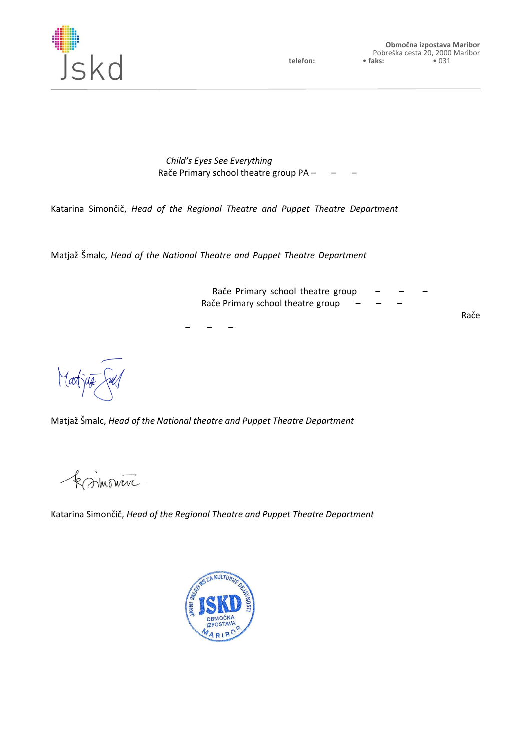

Date: 1st July 2015

## Certificate of Performance Quality (For *Child's Eyes See Everything* performance performed by Rače Primary school theatre group PA – RA – RA – RA)

Katarina Simončič, *Head of the Regional Theatre and Puppet Theatre Department* at the Republic of Slovenia Public Fund for Cultural Activities

and

Matjaž Šmalc, *Head of the National Theatre and Puppet Theatre Department* at the Republic of Slovenia Public Fund for Cultural Activities and Chairman of Slovene AITA/IATA National Centre,

here by guarantee the high quality of Rače Primary school theatre group PA - RA - RA - RA amateur production. We further confirm that Rače Primary school theatre group PA – RA – RA – RA provides one of the best amateur productions in our country, evidenced by the Zlata plaketa award received by Rače Primary school theatre group PA – RA – RA – RA last year and complementary reviews of the professional public.

\_\_\_\_\_\_\_\_\_\_\_\_\_\_\_\_\_\_\_\_\_\_\_\_\_\_\_\_\_\_\_\_\_\_\_\_\_\_\_\_\_\_\_\_\_\_\_\_\_\_\_\_\_\_\_\_\_\_\_\_\_\_\_\_\_\_\_\_\_\_\_\_\_\_\_\_\_\_\_ Matjaž Šmalc, *Head of the National theatre and Puppet Theatre Department* at the Republic of Slovenia Public Fund for Cultural Activities and Chairman of Slovene AITA/IATA national centre

ksimowere

\_\_\_\_\_\_\_\_\_\_\_\_\_\_\_\_\_\_\_\_\_\_\_\_\_\_\_\_\_\_\_\_\_\_\_\_\_\_\_\_\_\_\_\_\_\_\_\_\_\_\_\_\_\_\_\_\_\_\_\_\_\_\_\_\_\_\_\_\_\_\_\_\_\_\_\_\_\_\_\_\_\_ Katarina Simončič, *Head of the Regional Theatre and Puppet Theatre Department* at the Republic of Slovenia Public Fund for Cultural Activities